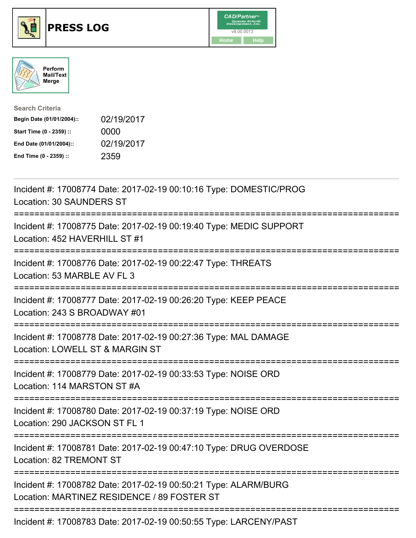





| <b>Search Criteria</b>    |            |
|---------------------------|------------|
| Begin Date (01/01/2004):: | 02/19/2017 |
| Start Time (0 - 2359) ::  | 0000       |
| End Date (01/01/2004)::   | 02/19/2017 |
| End Time (0 - 2359) ::    | 2359       |

| Incident #: 17008774 Date: 2017-02-19 00:10:16 Type: DOMESTIC/PROG<br>Location: 30 SAUNDERS ST                      |
|---------------------------------------------------------------------------------------------------------------------|
| Incident #: 17008775 Date: 2017-02-19 00:19:40 Type: MEDIC SUPPORT<br>Location: 452 HAVERHILL ST #1                 |
| Incident #: 17008776 Date: 2017-02-19 00:22:47 Type: THREATS<br>Location: 53 MARBLE AV FL 3                         |
| Incident #: 17008777 Date: 2017-02-19 00:26:20 Type: KEEP PEACE<br>Location: 243 S BROADWAY #01                     |
| Incident #: 17008778 Date: 2017-02-19 00:27:36 Type: MAL DAMAGE<br>Location: LOWELL ST & MARGIN ST<br>==========    |
| Incident #: 17008779 Date: 2017-02-19 00:33:53 Type: NOISE ORD<br>Location: 114 MARSTON ST #A<br>------------       |
| Incident #: 17008780 Date: 2017-02-19 00:37:19 Type: NOISE ORD<br>Location: 290 JACKSON ST FL 1<br>================ |
| Incident #: 17008781 Date: 2017-02-19 00:47:10 Type: DRUG OVERDOSE<br>Location: 82 TREMONT ST                       |
| Incident #: 17008782 Date: 2017-02-19 00:50:21 Type: ALARM/BURG<br>Location: MARTINEZ RESIDENCE / 89 FOSTER ST      |
| Incident #: 17008783 Date: 2017-02-19 00:50:55 Type: LARCENY/PAST                                                   |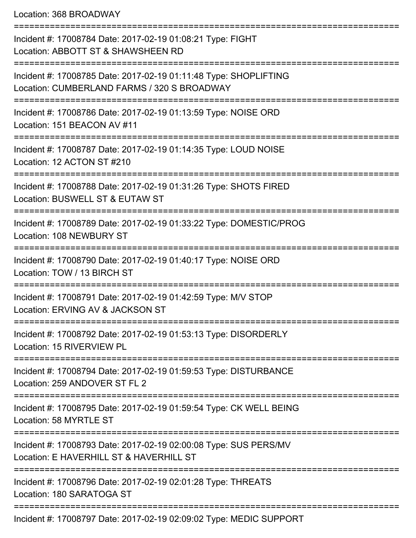Location: 368 BROADWAY

=========================================================================== Incident #: 17008784 Date: 2017-02-19 01:08:21 Type: FIGHT Location: ABBOTT ST & SHAWSHEEN RD =========================================================================== Incident #: 17008785 Date: 2017-02-19 01:11:48 Type: SHOPLIFTING Location: CUMBERLAND FARMS / 320 S BROADWAY =========================================================================== Incident #: 17008786 Date: 2017-02-19 01:13:59 Type: NOISE ORD Location: 151 BEACON AV #11 =========================================================================== Incident #: 17008787 Date: 2017-02-19 01:14:35 Type: LOUD NOISE Location: 12 ACTON ST #210 =========================================================================== Incident #: 17008788 Date: 2017-02-19 01:31:26 Type: SHOTS FIRED Location: BUSWELL ST & EUTAW ST =========================================================================== Incident #: 17008789 Date: 2017-02-19 01:33:22 Type: DOMESTIC/PROG Location: 108 NEWBURY ST =========================================================================== Incident #: 17008790 Date: 2017-02-19 01:40:17 Type: NOISE ORD Location: TOW / 13 BIRCH ST =========================================================================== Incident #: 17008791 Date: 2017-02-19 01:42:59 Type: M/V STOP Location: ERVING AV & JACKSON ST =========================================================================== Incident #: 17008792 Date: 2017-02-19 01:53:13 Type: DISORDERLY Location: 15 RIVERVIEW PL =========================================================================== Incident #: 17008794 Date: 2017-02-19 01:59:53 Type: DISTURBANCE Location: 259 ANDOVER ST FL 2 =========================================================================== Incident #: 17008795 Date: 2017-02-19 01:59:54 Type: CK WELL BEING Location: 58 MYRTLE ST =========================================================================== Incident #: 17008793 Date: 2017-02-19 02:00:08 Type: SUS PERS/MV Location: E HAVERHILL ST & HAVERHILL ST =========================================================================== Incident #: 17008796 Date: 2017-02-19 02:01:28 Type: THREATS Location: 180 SARATOGA ST =========================================================================== Incident #: 17008797 Date: 2017-02-19 02:09:02 Type: MEDIC SUPPORT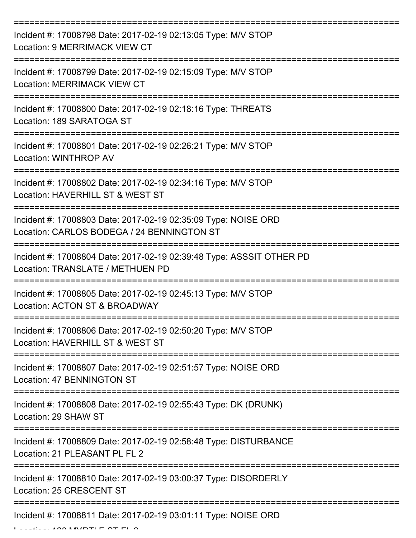| Incident #: 17008798 Date: 2017-02-19 02:13:05 Type: M/V STOP<br>Location: 9 MERRIMACK VIEW CT               |
|--------------------------------------------------------------------------------------------------------------|
| Incident #: 17008799 Date: 2017-02-19 02:15:09 Type: M/V STOP<br><b>Location: MERRIMACK VIEW CT</b>          |
| Incident #: 17008800 Date: 2017-02-19 02:18:16 Type: THREATS<br>Location: 189 SARATOGA ST                    |
| Incident #: 17008801 Date: 2017-02-19 02:26:21 Type: M/V STOP<br>Location: WINTHROP AV                       |
| Incident #: 17008802 Date: 2017-02-19 02:34:16 Type: M/V STOP<br>Location: HAVERHILL ST & WEST ST            |
| Incident #: 17008803 Date: 2017-02-19 02:35:09 Type: NOISE ORD<br>Location: CARLOS BODEGA / 24 BENNINGTON ST |
| Incident #: 17008804 Date: 2017-02-19 02:39:48 Type: ASSSIT OTHER PD<br>Location: TRANSLATE / METHUEN PD     |
| Incident #: 17008805 Date: 2017-02-19 02:45:13 Type: M/V STOP<br>Location: ACTON ST & BROADWAY               |
| Incident #: 17008806 Date: 2017-02-19 02:50:20 Type: M/V STOP<br>Location: HAVERHILL ST & WEST ST            |
| Incident #: 17008807 Date: 2017-02-19 02:51:57 Type: NOISE ORD<br>Location: 47 BENNINGTON ST                 |
| Incident #: 17008808 Date: 2017-02-19 02:55:43 Type: DK (DRUNK)<br>Location: 29 SHAW ST                      |
| Incident #: 17008809 Date: 2017-02-19 02:58:48 Type: DISTURBANCE<br>Location: 21 PLEASANT PL FL 2            |
| Incident #: 17008810 Date: 2017-02-19 03:00:37 Type: DISORDERLY<br>Location: 25 CRESCENT ST                  |
| Incident #: 17008811 Date: 2017-02-19 03:01:11 Type: NOISE ORD                                               |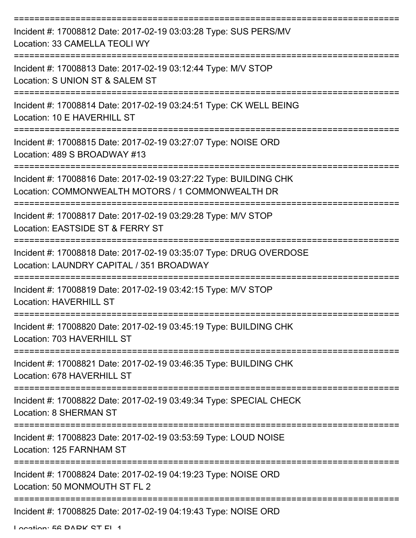| Incident #: 17008812 Date: 2017-02-19 03:03:28 Type: SUS PERS/MV<br>Location: 33 CAMELLA TEOLI WY                      |
|------------------------------------------------------------------------------------------------------------------------|
| Incident #: 17008813 Date: 2017-02-19 03:12:44 Type: M/V STOP<br>Location: S UNION ST & SALEM ST                       |
| Incident #: 17008814 Date: 2017-02-19 03:24:51 Type: CK WELL BEING<br>Location: 10 E HAVERHILL ST                      |
| Incident #: 17008815 Date: 2017-02-19 03:27:07 Type: NOISE ORD<br>Location: 489 S BROADWAY #13                         |
| Incident #: 17008816 Date: 2017-02-19 03:27:22 Type: BUILDING CHK<br>Location: COMMONWEALTH MOTORS / 1 COMMONWEALTH DR |
| Incident #: 17008817 Date: 2017-02-19 03:29:28 Type: M/V STOP<br>Location: EASTSIDE ST & FERRY ST                      |
| Incident #: 17008818 Date: 2017-02-19 03:35:07 Type: DRUG OVERDOSE<br>Location: LAUNDRY CAPITAL / 351 BROADWAY         |
| Incident #: 17008819 Date: 2017-02-19 03:42:15 Type: M/V STOP<br><b>Location: HAVERHILL ST</b>                         |
| Incident #: 17008820 Date: 2017-02-19 03:45:19 Type: BUILDING CHK<br>Location: 703 HAVERHILL ST                        |
| Incident #: 17008821 Date: 2017-02-19 03:46:35 Type: BUILDING CHK<br>Location: 678 HAVERHILL ST                        |
| Incident #: 17008822 Date: 2017-02-19 03:49:34 Type: SPECIAL CHECK<br><b>Location: 8 SHERMAN ST</b>                    |
| Incident #: 17008823 Date: 2017-02-19 03:53:59 Type: LOUD NOISE<br>Location: 125 FARNHAM ST                            |
| Incident #: 17008824 Date: 2017-02-19 04:19:23 Type: NOISE ORD<br>Location: 50 MONMOUTH ST FL 2                        |
| Incident #: 17008825 Date: 2017-02-19 04:19:43 Type: NOISE ORD                                                         |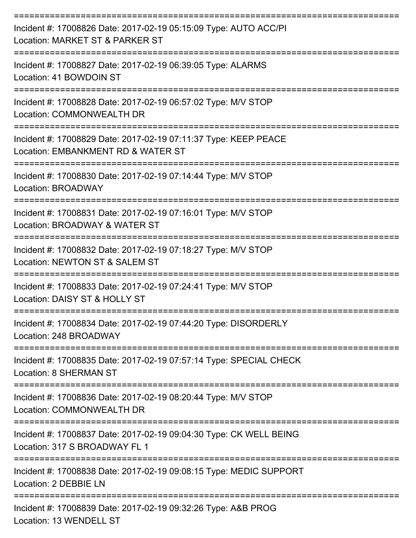| Incident #: 17008826 Date: 2017-02-19 05:15:09 Type: AUTO ACC/PI<br>Location: MARKET ST & PARKER ST   |
|-------------------------------------------------------------------------------------------------------|
| Incident #: 17008827 Date: 2017-02-19 06:39:05 Type: ALARMS<br>Location: 41 BOWDOIN ST                |
| Incident #: 17008828 Date: 2017-02-19 06:57:02 Type: M/V STOP<br>Location: COMMONWEALTH DR            |
| Incident #: 17008829 Date: 2017-02-19 07:11:37 Type: KEEP PEACE<br>Location: EMBANKMENT RD & WATER ST |
| Incident #: 17008830 Date: 2017-02-19 07:14:44 Type: M/V STOP<br><b>Location: BROADWAY</b>            |
| Incident #: 17008831 Date: 2017-02-19 07:16:01 Type: M/V STOP<br>Location: BROADWAY & WATER ST        |
| Incident #: 17008832 Date: 2017-02-19 07:18:27 Type: M/V STOP<br>Location: NEWTON ST & SALEM ST       |
| Incident #: 17008833 Date: 2017-02-19 07:24:41 Type: M/V STOP<br>Location: DAISY ST & HOLLY ST        |
| Incident #: 17008834 Date: 2017-02-19 07:44:20 Type: DISORDERLY<br>Location: 248 BROADWAY             |
| Incident #: 17008835 Date: 2017-02-19 07:57:14 Type: SPECIAL CHECK<br><b>Location: 8 SHERMAN ST</b>   |
| Incident #: 17008836 Date: 2017-02-19 08:20:44 Type: M/V STOP<br>Location: COMMONWEALTH DR            |
| Incident #: 17008837 Date: 2017-02-19 09:04:30 Type: CK WELL BEING<br>Location: 317 S BROADWAY FL 1   |
| Incident #: 17008838 Date: 2017-02-19 09:08:15 Type: MEDIC SUPPORT<br>Location: 2 DEBBIE LN           |
| Incident #: 17008839 Date: 2017-02-19 09:32:26 Type: A&B PROG<br>Location: 13 WENDELL ST              |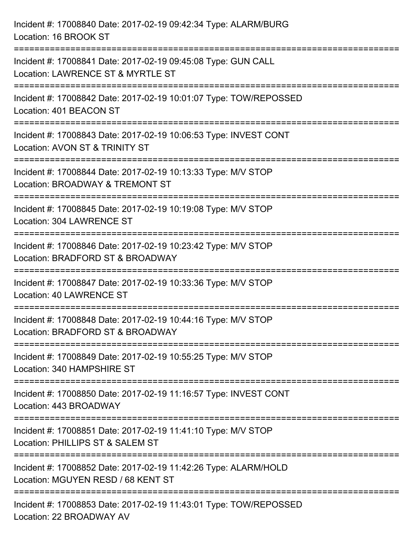| Incident #: 17008840 Date: 2017-02-19 09:42:34 Type: ALARM/BURG<br>Location: 16 BROOK ST                                             |
|--------------------------------------------------------------------------------------------------------------------------------------|
| ==============================<br>Incident #: 17008841 Date: 2017-02-19 09:45:08 Type: GUN CALL<br>Location: LAWRENCE ST & MYRTLE ST |
| Incident #: 17008842 Date: 2017-02-19 10:01:07 Type: TOW/REPOSSED<br>Location: 401 BEACON ST                                         |
| Incident #: 17008843 Date: 2017-02-19 10:06:53 Type: INVEST CONT<br>Location: AVON ST & TRINITY ST                                   |
| Incident #: 17008844 Date: 2017-02-19 10:13:33 Type: M/V STOP<br>Location: BROADWAY & TREMONT ST                                     |
| Incident #: 17008845 Date: 2017-02-19 10:19:08 Type: M/V STOP<br>Location: 304 LAWRENCE ST                                           |
| Incident #: 17008846 Date: 2017-02-19 10:23:42 Type: M/V STOP<br>Location: BRADFORD ST & BROADWAY                                    |
| Incident #: 17008847 Date: 2017-02-19 10:33:36 Type: M/V STOP<br><b>Location: 40 LAWRENCE ST</b>                                     |
| Incident #: 17008848 Date: 2017-02-19 10:44:16 Type: M/V STOP<br>Location: BRADFORD ST & BROADWAY                                    |
| Incident #: 17008849 Date: 2017-02-19 10:55:25 Type: M/V STOP<br>Location: 340 HAMPSHIRE ST                                          |
| Incident #: 17008850 Date: 2017-02-19 11:16:57 Type: INVEST CONT<br>Location: 443 BROADWAY                                           |
| Incident #: 17008851 Date: 2017-02-19 11:41:10 Type: M/V STOP<br>Location: PHILLIPS ST & SALEM ST                                    |
| Incident #: 17008852 Date: 2017-02-19 11:42:26 Type: ALARM/HOLD<br>Location: MGUYEN RESD / 68 KENT ST                                |
| Incident #: 17008853 Date: 2017-02-19 11:43:01 Type: TOW/REPOSSED<br>Location: 22 BROADWAY AV                                        |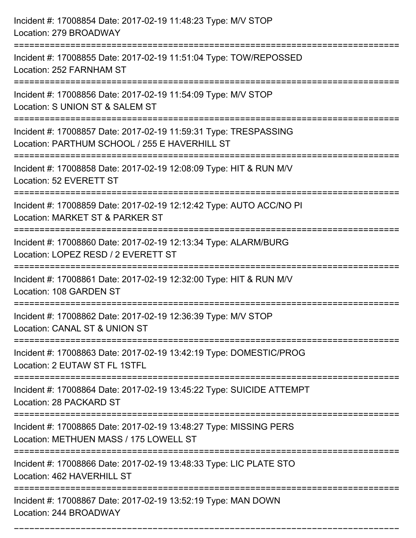| Incident #: 17008854 Date: 2017-02-19 11:48:23 Type: M/V STOP<br>Location: 279 BROADWAY                                                   |
|-------------------------------------------------------------------------------------------------------------------------------------------|
| Incident #: 17008855 Date: 2017-02-19 11:51:04 Type: TOW/REPOSSED<br>Location: 252 FARNHAM ST                                             |
| Incident #: 17008856 Date: 2017-02-19 11:54:09 Type: M/V STOP<br>Location: S UNION ST & SALEM ST<br>:======================               |
| Incident #: 17008857 Date: 2017-02-19 11:59:31 Type: TRESPASSING<br>Location: PARTHUM SCHOOL / 255 E HAVERHILL ST                         |
| Incident #: 17008858 Date: 2017-02-19 12:08:09 Type: HIT & RUN M/V<br>Location: 52 EVERETT ST                                             |
| Incident #: 17008859 Date: 2017-02-19 12:12:42 Type: AUTO ACC/NO PI<br>Location: MARKET ST & PARKER ST                                    |
| Incident #: 17008860 Date: 2017-02-19 12:13:34 Type: ALARM/BURG<br>Location: LOPEZ RESD / 2 EVERETT ST                                    |
| Incident #: 17008861 Date: 2017-02-19 12:32:00 Type: HIT & RUN M/V<br>Location: 108 GARDEN ST                                             |
| Incident #: 17008862 Date: 2017-02-19 12:36:39 Type: M/V STOP<br>Location: CANAL ST & UNION ST                                            |
| Incident #: 17008863 Date: 2017-02-19 13:42:19 Type: DOMESTIC/PROG<br>Location: 2 EUTAW ST FL 1STFL                                       |
| Incident #: 17008864 Date: 2017-02-19 13:45:22 Type: SUICIDE ATTEMPT<br>Location: 28 PACKARD ST<br>-------------------------------------- |
| Incident #: 17008865 Date: 2017-02-19 13:48:27 Type: MISSING PERS<br>Location: METHUEN MASS / 175 LOWELL ST                               |
| Incident #: 17008866 Date: 2017-02-19 13:48:33 Type: LIC PLATE STO<br>Location: 462 HAVERHILL ST                                          |
| Incident #: 17008867 Date: 2017-02-19 13:52:19 Type: MAN DOWN<br>Location: 244 BROADWAY                                                   |

===========================================================================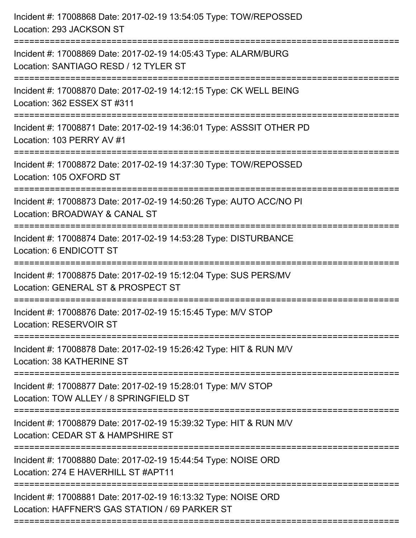| Incident #: 17008868 Date: 2017-02-19 13:54:05 Type: TOW/REPOSSED<br>Location: 293 JACKSON ST                                                                      |
|--------------------------------------------------------------------------------------------------------------------------------------------------------------------|
| Incident #: 17008869 Date: 2017-02-19 14:05:43 Type: ALARM/BURG<br>Location: SANTIAGO RESD / 12 TYLER ST                                                           |
| Incident #: 17008870 Date: 2017-02-19 14:12:15 Type: CK WELL BEING<br>Location: 362 ESSEX ST #311<br>============================                                  |
| Incident #: 17008871 Date: 2017-02-19 14:36:01 Type: ASSSIT OTHER PD<br>Location: 103 PERRY AV #1                                                                  |
| Incident #: 17008872 Date: 2017-02-19 14:37:30 Type: TOW/REPOSSED<br>Location: 105 OXFORD ST<br>==================================<br>============================ |
| Incident #: 17008873 Date: 2017-02-19 14:50:26 Type: AUTO ACC/NO PI<br>Location: BROADWAY & CANAL ST                                                               |
| Incident #: 17008874 Date: 2017-02-19 14:53:28 Type: DISTURBANCE<br>Location: 6 ENDICOTT ST                                                                        |
| Incident #: 17008875 Date: 2017-02-19 15:12:04 Type: SUS PERS/MV<br>Location: GENERAL ST & PROSPECT ST                                                             |
| Incident #: 17008876 Date: 2017-02-19 15:15:45 Type: M/V STOP<br>Location: RESERVOIR ST                                                                            |
| Incident #: 17008878 Date: 2017-02-19 15:26:42 Type: HIT & RUN M/V<br>Location: 38 KATHERINE ST                                                                    |
| Incident #: 17008877 Date: 2017-02-19 15:28:01 Type: M/V STOP<br>Location: TOW ALLEY / 8 SPRINGFIELD ST                                                            |
| Incident #: 17008879 Date: 2017-02-19 15:39:32 Type: HIT & RUN M/V<br>Location: CEDAR ST & HAMPSHIRE ST                                                            |
| Incident #: 17008880 Date: 2017-02-19 15:44:54 Type: NOISE ORD<br>Location: 274 E HAVERHILL ST #APT11                                                              |
| Incident #: 17008881 Date: 2017-02-19 16:13:32 Type: NOISE ORD<br>Location: HAFFNER'S GAS STATION / 69 PARKER ST                                                   |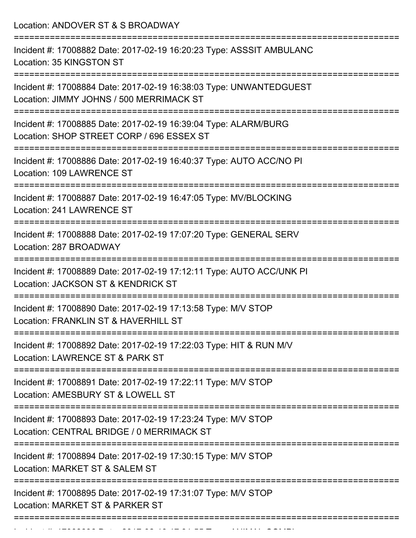Location: ANDOVER ST & S BROADWAY

| Incident #: 17008882 Date: 2017-02-19 16:20:23 Type: ASSSIT AMBULANC<br>Location: 35 KINGSTON ST               |
|----------------------------------------------------------------------------------------------------------------|
| Incident #: 17008884 Date: 2017-02-19 16:38:03 Type: UNWANTEDGUEST<br>Location: JIMMY JOHNS / 500 MERRIMACK ST |
| Incident #: 17008885 Date: 2017-02-19 16:39:04 Type: ALARM/BURG<br>Location: SHOP STREET CORP / 696 ESSEX ST   |
| Incident #: 17008886 Date: 2017-02-19 16:40:37 Type: AUTO ACC/NO PI<br>Location: 109 LAWRENCE ST               |
| Incident #: 17008887 Date: 2017-02-19 16:47:05 Type: MV/BLOCKING<br>Location: 241 LAWRENCE ST                  |
| Incident #: 17008888 Date: 2017-02-19 17:07:20 Type: GENERAL SERV<br>Location: 287 BROADWAY                    |
| Incident #: 17008889 Date: 2017-02-19 17:12:11 Type: AUTO ACC/UNK PI<br>Location: JACKSON ST & KENDRICK ST     |
| Incident #: 17008890 Date: 2017-02-19 17:13:58 Type: M/V STOP<br>Location: FRANKLIN ST & HAVERHILL ST          |
| Incident #: 17008892 Date: 2017-02-19 17:22:03 Type: HIT & RUN M/V<br>Location: LAWRENCE ST & PARK ST          |
| Incident #: 17008891 Date: 2017-02-19 17:22:11 Type: M/V STOP<br>Location: AMESBURY ST & LOWELL ST             |
| Incident #: 17008893 Date: 2017-02-19 17:23:24 Type: M/V STOP<br>Location: CENTRAL BRIDGE / 0 MERRIMACK ST     |
| Incident #: 17008894 Date: 2017-02-19 17:30:15 Type: M/V STOP<br>Location: MARKET ST & SALEM ST                |
| Incident #: 17008895 Date: 2017-02-19 17:31:07 Type: M/V STOP<br>Location: MARKET ST & PARKER ST               |
|                                                                                                                |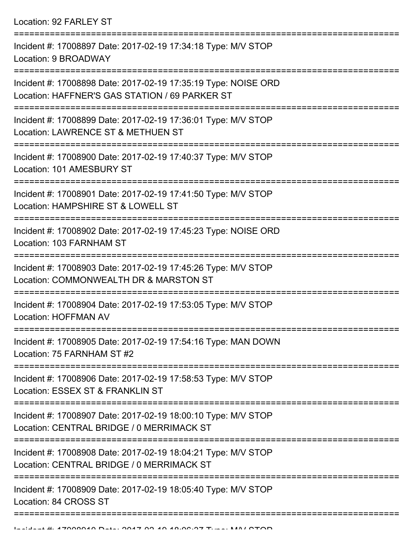| Incident #: 17008897 Date: 2017-02-19 17:34:18 Type: M/V STOP<br>Location: 9 BROADWAY                            |
|------------------------------------------------------------------------------------------------------------------|
| Incident #: 17008898 Date: 2017-02-19 17:35:19 Type: NOISE ORD<br>Location: HAFFNER'S GAS STATION / 69 PARKER ST |
| Incident #: 17008899 Date: 2017-02-19 17:36:01 Type: M/V STOP<br>Location: LAWRENCE ST & METHUEN ST              |
| Incident #: 17008900 Date: 2017-02-19 17:40:37 Type: M/V STOP<br>Location: 101 AMESBURY ST                       |
| Incident #: 17008901 Date: 2017-02-19 17:41:50 Type: M/V STOP<br>Location: HAMPSHIRE ST & LOWELL ST              |
| Incident #: 17008902 Date: 2017-02-19 17:45:23 Type: NOISE ORD<br>Location: 103 FARNHAM ST                       |
| Incident #: 17008903 Date: 2017-02-19 17:45:26 Type: M/V STOP<br>Location: COMMONWEALTH DR & MARSTON ST          |
| Incident #: 17008904 Date: 2017-02-19 17:53:05 Type: M/V STOP<br><b>Location: HOFFMAN AV</b>                     |
| Incident #: 17008905 Date: 2017-02-19 17:54:16 Type: MAN DOWN<br>Location: 75 FARNHAM ST #2                      |
| Incident #: 17008906 Date: 2017-02-19 17:58:53 Type: M/V STOP<br>Location: ESSEX ST & FRANKLIN ST                |
| Incident #: 17008907 Date: 2017-02-19 18:00:10 Type: M/V STOP<br>Location: CENTRAL BRIDGE / 0 MERRIMACK ST       |
| Incident #: 17008908 Date: 2017-02-19 18:04:21 Type: M/V STOP<br>Location: CENTRAL BRIDGE / 0 MERRIMACK ST       |
| Incident #: 17008909 Date: 2017-02-19 18:05:40 Type: M/V STOP<br>Location: 84 CROSS ST                           |
|                                                                                                                  |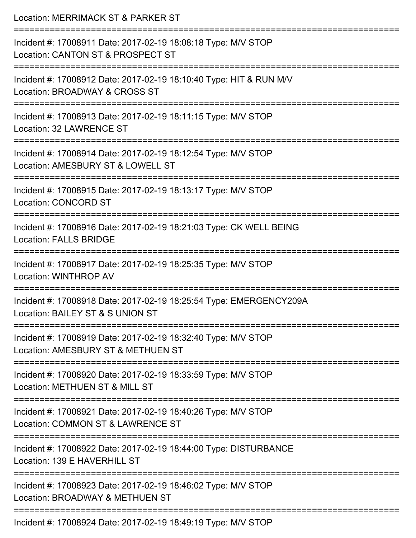| Location: MERRIMACK ST & PARKER ST<br>======================                                                                     |
|----------------------------------------------------------------------------------------------------------------------------------|
| Incident #: 17008911 Date: 2017-02-19 18:08:18 Type: M/V STOP<br>Location: CANTON ST & PROSPECT ST<br>:========================= |
| Incident #: 17008912 Date: 2017-02-19 18:10:40 Type: HIT & RUN M/V<br>Location: BROADWAY & CROSS ST                              |
| Incident #: 17008913 Date: 2017-02-19 18:11:15 Type: M/V STOP<br>Location: 32 LAWRENCE ST                                        |
| Incident #: 17008914 Date: 2017-02-19 18:12:54 Type: M/V STOP<br>Location: AMESBURY ST & LOWELL ST                               |
| Incident #: 17008915 Date: 2017-02-19 18:13:17 Type: M/V STOP<br><b>Location: CONCORD ST</b>                                     |
| Incident #: 17008916 Date: 2017-02-19 18:21:03 Type: CK WELL BEING<br><b>Location: FALLS BRIDGE</b>                              |
| Incident #: 17008917 Date: 2017-02-19 18:25:35 Type: M/V STOP<br><b>Location: WINTHROP AV</b>                                    |
| Incident #: 17008918 Date: 2017-02-19 18:25:54 Type: EMERGENCY209A<br>Location: BAILEY ST & S UNION ST                           |
| Incident #: 17008919 Date: 2017-02-19 18:32:40 Type: M/V STOP<br>Location: AMESBURY ST & METHUEN ST                              |
| Incident #: 17008920 Date: 2017-02-19 18:33:59 Type: M/V STOP<br>Location: METHUEN ST & MILL ST                                  |
| Incident #: 17008921 Date: 2017-02-19 18:40:26 Type: M/V STOP<br>Location: COMMON ST & LAWRENCE ST                               |
| Incident #: 17008922 Date: 2017-02-19 18:44:00 Type: DISTURBANCE<br>Location: 139 E HAVERHILL ST                                 |
| Incident #: 17008923 Date: 2017-02-19 18:46:02 Type: M/V STOP<br>Location: BROADWAY & METHUEN ST                                 |
| Incident #: 17008924 Date: 2017-02-19 18:49:19 Type: M/V STOP                                                                    |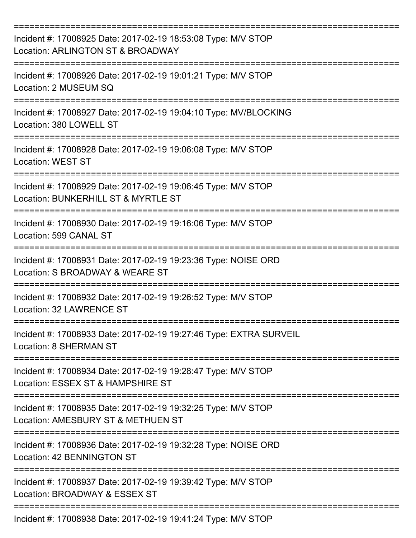| Incident #: 17008925 Date: 2017-02-19 18:53:08 Type: M/V STOP<br>Location: ARLINGTON ST & BROADWAY   |
|------------------------------------------------------------------------------------------------------|
| Incident #: 17008926 Date: 2017-02-19 19:01:21 Type: M/V STOP<br>Location: 2 MUSEUM SQ               |
| Incident #: 17008927 Date: 2017-02-19 19:04:10 Type: MV/BLOCKING<br>Location: 380 LOWELL ST          |
| Incident #: 17008928 Date: 2017-02-19 19:06:08 Type: M/V STOP<br><b>Location: WEST ST</b>            |
| Incident #: 17008929 Date: 2017-02-19 19:06:45 Type: M/V STOP<br>Location: BUNKERHILL ST & MYRTLE ST |
| Incident #: 17008930 Date: 2017-02-19 19:16:06 Type: M/V STOP<br>Location: 599 CANAL ST              |
| Incident #: 17008931 Date: 2017-02-19 19:23:36 Type: NOISE ORD<br>Location: S BROADWAY & WEARE ST    |
| Incident #: 17008932 Date: 2017-02-19 19:26:52 Type: M/V STOP<br>Location: 32 LAWRENCE ST            |
| Incident #: 17008933 Date: 2017-02-19 19:27:46 Type: EXTRA SURVEIL<br><b>Location: 8 SHERMAN ST</b>  |
| Incident #: 17008934 Date: 2017-02-19 19:28:47 Type: M/V STOP<br>Location: ESSEX ST & HAMPSHIRE ST   |
| Incident #: 17008935 Date: 2017-02-19 19:32:25 Type: M/V STOP<br>Location: AMESBURY ST & METHUEN ST  |
| Incident #: 17008936 Date: 2017-02-19 19:32:28 Type: NOISE ORD<br>Location: 42 BENNINGTON ST         |
| Incident #: 17008937 Date: 2017-02-19 19:39:42 Type: M/V STOP<br>Location: BROADWAY & ESSEX ST       |
| Incident #: 17008938 Date: 2017-02-19 19:41:24 Type: M/V STOP                                        |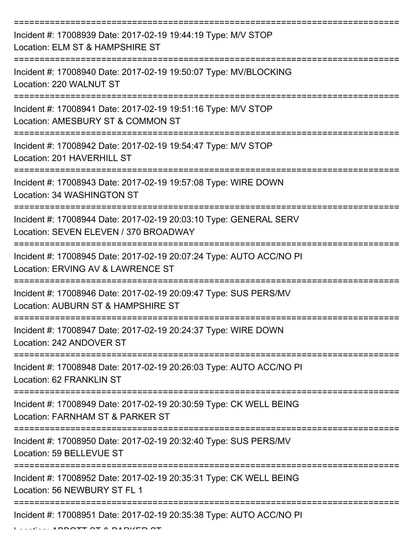| Incident #: 17008939 Date: 2017-02-19 19:44:19 Type: M/V STOP<br>Location: ELM ST & HAMPSHIRE ST           |
|------------------------------------------------------------------------------------------------------------|
| Incident #: 17008940 Date: 2017-02-19 19:50:07 Type: MV/BLOCKING<br>Location: 220 WALNUT ST                |
| Incident #: 17008941 Date: 2017-02-19 19:51:16 Type: M/V STOP<br>Location: AMESBURY ST & COMMON ST         |
| Incident #: 17008942 Date: 2017-02-19 19:54:47 Type: M/V STOP<br>Location: 201 HAVERHILL ST                |
| Incident #: 17008943 Date: 2017-02-19 19:57:08 Type: WIRE DOWN<br>Location: 34 WASHINGTON ST               |
| Incident #: 17008944 Date: 2017-02-19 20:03:10 Type: GENERAL SERV<br>Location: SEVEN ELEVEN / 370 BROADWAY |
| Incident #: 17008945 Date: 2017-02-19 20:07:24 Type: AUTO ACC/NO PI<br>Location: ERVING AV & LAWRENCE ST   |
| Incident #: 17008946 Date: 2017-02-19 20:09:47 Type: SUS PERS/MV<br>Location: AUBURN ST & HAMPSHIRE ST     |
| Incident #: 17008947 Date: 2017-02-19 20:24:37 Type: WIRE DOWN<br>Location: 242 ANDOVER ST                 |
| Incident #: 17008948 Date: 2017-02-19 20:26:03 Type: AUTO ACC/NO PI<br>Location: 62 FRANKLIN ST            |
| Incident #: 17008949 Date: 2017-02-19 20:30:59 Type: CK WELL BEING<br>Location: FARNHAM ST & PARKER ST     |
| Incident #: 17008950 Date: 2017-02-19 20:32:40 Type: SUS PERS/MV<br>Location: 59 BELLEVUE ST               |
| Incident #: 17008952 Date: 2017-02-19 20:35:31 Type: CK WELL BEING<br>Location: 56 NEWBURY ST FL 1         |
| Incident #: 17008951 Date: 2017-02-19 20:35:38 Type: AUTO ACC/NO PI                                        |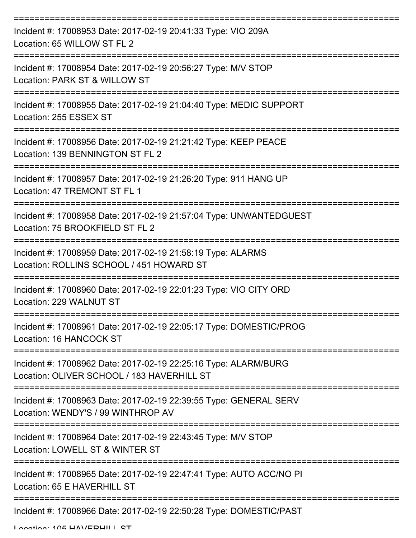| Incident #: 17008953 Date: 2017-02-19 20:41:33 Type: VIO 209A<br>Location: 65 WILLOW ST FL 2                  |
|---------------------------------------------------------------------------------------------------------------|
| Incident #: 17008954 Date: 2017-02-19 20:56:27 Type: M/V STOP<br>Location: PARK ST & WILLOW ST                |
| Incident #: 17008955 Date: 2017-02-19 21:04:40 Type: MEDIC SUPPORT<br>Location: 255 ESSEX ST                  |
| Incident #: 17008956 Date: 2017-02-19 21:21:42 Type: KEEP PEACE<br>Location: 139 BENNINGTON ST FL 2           |
| Incident #: 17008957 Date: 2017-02-19 21:26:20 Type: 911 HANG UP<br>Location: 47 TREMONT ST FL 1              |
| Incident #: 17008958 Date: 2017-02-19 21:57:04 Type: UNWANTEDGUEST<br>Location: 75 BROOKFIELD ST FL 2         |
| Incident #: 17008959 Date: 2017-02-19 21:58:19 Type: ALARMS<br>Location: ROLLINS SCHOOL / 451 HOWARD ST       |
| Incident #: 17008960 Date: 2017-02-19 22:01:23 Type: VIO CITY ORD<br>Location: 229 WALNUT ST                  |
| Incident #: 17008961 Date: 2017-02-19 22:05:17 Type: DOMESTIC/PROG<br>Location: 16 HANCOCK ST                 |
| Incident #: 17008962 Date: 2017-02-19 22:25:16 Type: ALARM/BURG<br>Location: OLIVER SCHOOL / 183 HAVERHILL ST |
| Incident #: 17008963 Date: 2017-02-19 22:39:55 Type: GENERAL SERV<br>Location: WENDY'S / 99 WINTHROP AV       |
| Incident #: 17008964 Date: 2017-02-19 22:43:45 Type: M/V STOP<br>Location: LOWELL ST & WINTER ST              |
| Incident #: 17008965 Date: 2017-02-19 22:47:41 Type: AUTO ACC/NO PI<br>Location: 65 E HAVERHILL ST            |
| Incident #: 17008966 Date: 2017-02-19 22:50:28 Type: DOMESTIC/PAST                                            |